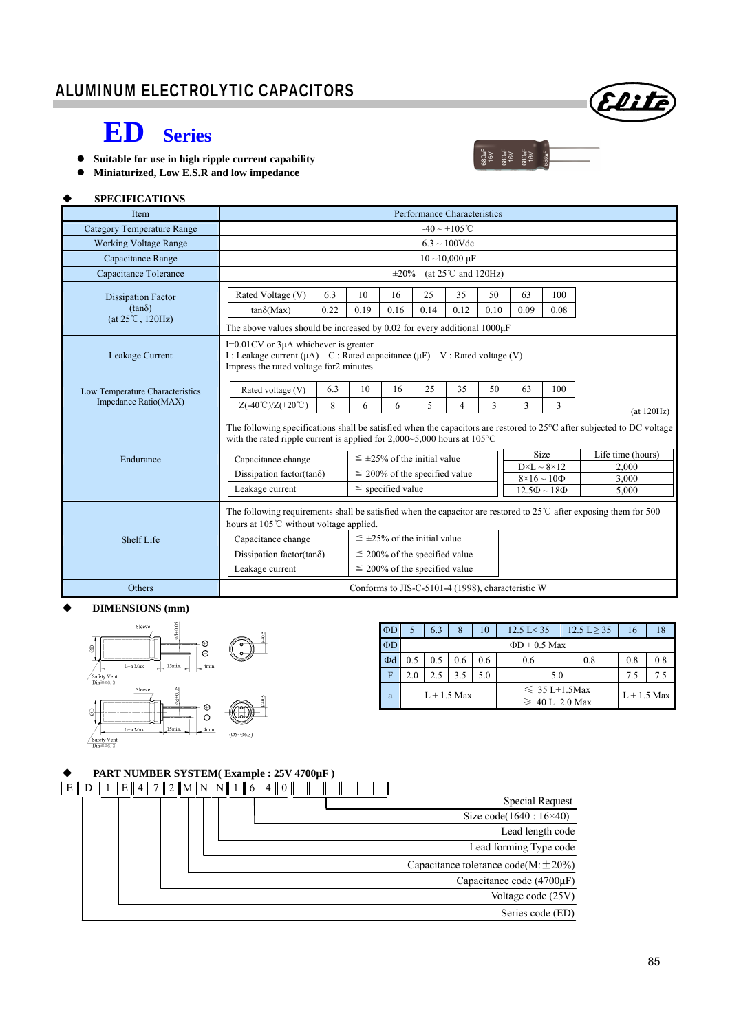

# **ED Series**

- **Suitable for use in high ripple current capability**
- **Miniaturized, Low E.S.R and low impedance**

### **SPECIFICATIONS**

| Item                              | Performance Characteristics                                                                                                                                                                                             |                                      |                                      |      |      |                                                 |      |                |                   |            |  |
|-----------------------------------|-------------------------------------------------------------------------------------------------------------------------------------------------------------------------------------------------------------------------|--------------------------------------|--------------------------------------|------|------|-------------------------------------------------|------|----------------|-------------------|------------|--|
| <b>Category Temperature Range</b> | $-40 \sim +105^{\circ}$ C                                                                                                                                                                                               |                                      |                                      |      |      |                                                 |      |                |                   |            |  |
| <b>Working Voltage Range</b>      | $6.3 \sim 100$ Vdc                                                                                                                                                                                                      |                                      |                                      |      |      |                                                 |      |                |                   |            |  |
| Capacitance Range                 | $10$ ~10,000 $\mu$ F                                                                                                                                                                                                    |                                      |                                      |      |      |                                                 |      |                |                   |            |  |
| Capacitance Tolerance             | $\pm 20\%$<br>(at $25^{\circ}$ C and 120Hz)                                                                                                                                                                             |                                      |                                      |      |      |                                                 |      |                |                   |            |  |
| <b>Dissipation Factor</b>         | Rated Voltage (V)                                                                                                                                                                                                       | 6.3                                  | 10                                   | 16   | 25   | 35                                              | 50   | 63             | 100               |            |  |
| $(tan\delta)$                     | $tan\delta(Max)$                                                                                                                                                                                                        | 0.22                                 | 0.19                                 | 0.16 | 0.14 | 0.12                                            | 0.10 | 0.09           | 0.08              |            |  |
| $(at 25^{\circ}C, 120Hz)$         | The above values should be increased by 0.02 for every additional $1000\mu$ F                                                                                                                                           |                                      |                                      |      |      |                                                 |      |                |                   |            |  |
| Leakage Current                   | $I=0.01$ CV or $3\mu A$ whichever is greater<br>I : Leakage current (μA) C : Rated capacitance (μF) V : Rated voltage (V)<br>Impress the rated voltage for2 minutes                                                     |                                      |                                      |      |      |                                                 |      |                |                   |            |  |
| Low Temperature Characteristics   | Rated voltage (V)                                                                                                                                                                                                       | 6.3                                  | 10                                   | 16   | 25   | 35                                              | 50   | 63             | 100               |            |  |
| Impedance Ratio(MAX)              | $Z(-40^{\circ}\text{C})/Z(+20^{\circ}\text{C})$                                                                                                                                                                         | 8                                    | 6                                    | 6    | 5    | 4                                               | 3    | 3              | 3                 | (at 120Hz) |  |
|                                   | The following specifications shall be satisfied when the capacitors are restored to $25^{\circ}$ C after subjected to DC voltage<br>with the rated ripple current is applied for $2,000~5,000$ hours at $105^{\circ}$ C |                                      |                                      |      |      |                                                 |      |                |                   |            |  |
| Endurance                         | Capacitance change                                                                                                                                                                                                      | $\leq \pm 25\%$ of the initial value |                                      |      |      |                                                 | Size |                | Life time (hours) |            |  |
|                                   | Dissipation factor(tan $\delta$ )                                                                                                                                                                                       | $\leq$ 200% of the specified value   |                                      |      |      | $D \times L \sim 8 \times 12$                   |      | 2,000          |                   |            |  |
|                                   | Leakage current                                                                                                                                                                                                         | $\le$ specified value                |                                      |      |      | $8\times16\sim10\Phi$<br>$12.5\Phi \sim 18\Phi$ |      | 3,000<br>5.000 |                   |            |  |
|                                   |                                                                                                                                                                                                                         |                                      |                                      |      |      |                                                 |      |                |                   |            |  |
|                                   | The following requirements shall be satisfied when the capacitor are restored to $25^{\circ}$ C after exposing them for 500<br>hours at 105°C without voltage applied.                                                  |                                      |                                      |      |      |                                                 |      |                |                   |            |  |
| Shelf Life                        | Capacitance change                                                                                                                                                                                                      |                                      | $\leq \pm 25\%$ of the initial value |      |      |                                                 |      |                |                   |            |  |
|                                   | Dissipation factor(tan $\delta$ )                                                                                                                                                                                       | $\leq$ 200% of the specified value   |                                      |      |      |                                                 |      |                |                   |            |  |
|                                   | Leakage current<br>$\leq$ 200% of the specified value                                                                                                                                                                   |                                      |                                      |      |      |                                                 |      |                |                   |            |  |
| Others                            | Conforms to JIS-C-5101-4 (1998), characteristic W                                                                                                                                                                       |                                      |                                      |      |      |                                                 |      |                |                   |            |  |

### **DIMENSIONS (mm)**



| ΦD       |                    | 63  | 8   | 10  | $12.5 \text{ L} < 35$                     | $12.5 L \ge 35$ | 16  | 18 |  |
|----------|--------------------|-----|-----|-----|-------------------------------------------|-----------------|-----|----|--|
| $\Phi D$ | $\Phi$ D + 0.5 Max |     |     |     |                                           |                 |     |    |  |
| Фd       | 0.5                | 0.5 | 0.6 | 0.6 | 0.6                                       | 0.8             | 0.8 |    |  |
| F        | 2.0                | 2.5 | 3.5 | 5.0 | 5.0                                       | 7.5             | 75  |    |  |
| a        | $L + 1.5$ Max      |     |     |     | $\leq 35$ L+1.5Max<br>$\geq 40$ L+2.0 Max | $L+1.5$ Max     |     |    |  |

160<br>16V<br>680uF<br>680uF<br>680uF

### **PART NUMBER SYSTEM( Example : 25V 4700µF )**

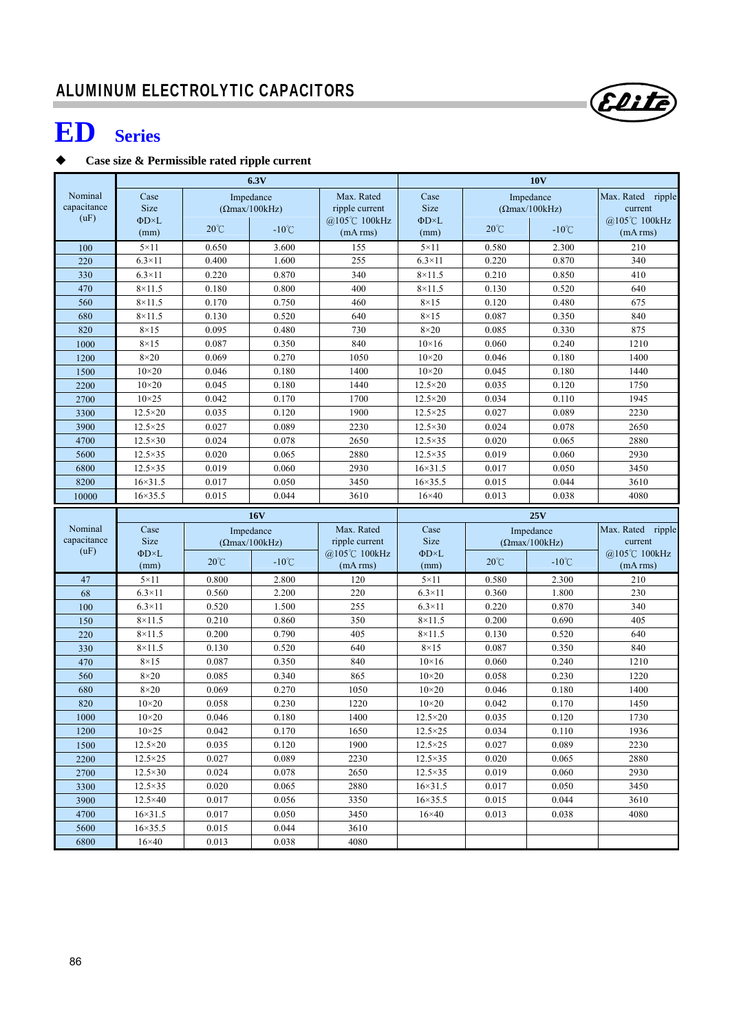# **ED Series**

## **Case size & Permissible rated ripple current**

|                        | 6.3V                               |                |                        |                                 | <b>10V</b>                   |                |                        |                                               |  |  |
|------------------------|------------------------------------|----------------|------------------------|---------------------------------|------------------------------|----------------|------------------------|-----------------------------------------------|--|--|
| Nominal                | Case<br>Impedance                  |                |                        | Max. Rated                      | Case                         |                | Impedance              | Max. Rated ripple                             |  |  |
| capacitance            | <b>Size</b>                        |                | $( \Omega$ max/100kHz) | ripple current                  | <b>Size</b>                  |                | $(\Omega$ max/100kHz)  | current                                       |  |  |
| (uF)                   | $\Phi$ D $\times$ L                | $20^{\circ}$ C | $-10^{\circ}$ C        | @105℃ 100kHz                    | ΦD×L                         | $20^{\circ}$ C | $-10^{\circ}$ C        | @105℃ 100kHz                                  |  |  |
|                        | (mm)                               |                |                        | (mA rms)                        | (mm)                         |                |                        | (mA rms)                                      |  |  |
| 100                    | $5 \times 11$                      | 0.650          | 3.600                  | 155                             | $5 \times 11$                | 0.580          | 2.300                  | 210                                           |  |  |
| 220                    | $6.3\times11$                      | 0.400          | 1.600                  | 255                             | $6.3\times11$                | 0.220          | 0.870                  | 340                                           |  |  |
| 330                    | $6.3\times11$                      | 0.220          | 0.870                  | 340                             | $8\times11.5$                | 0.210          | 0.850                  | 410                                           |  |  |
| 470                    | $8\times11.5$                      | 0.180          | 0.800                  | 400                             | $8 \times 11.5$              | 0.130          | 0.520                  | 640                                           |  |  |
| 560                    | $8\times11.5$                      | 0.170          | 0.750                  | 460                             | $8\times15$                  | 0.120          | 0.480                  | 675                                           |  |  |
| 680                    | $8\times11.5$                      | 0.130          | 0.520                  | 640                             | $8\times15$                  | 0.087          | 0.350                  | 840                                           |  |  |
| 820                    | $8\times15$                        | 0.095          | 0.480                  | 730                             | $8\times20$                  | 0.085          | 0.330                  | 875                                           |  |  |
| 1000                   | $8\times15$<br>$8\times20$         | 0.087<br>0.069 | 0.350<br>0.270         | 840<br>1050                     | $10\times16$<br>$10\times20$ | 0.060<br>0.046 | 0.240<br>0.180         | 1210<br>1400                                  |  |  |
| 1200<br>1500           | $10\times20$                       | 0.046          | 0.180                  | 1400                            | $10\times20$                 | 0.045          | 0.180                  | 1440                                          |  |  |
| 2200                   | $10\times20$                       | 0.045          | 0.180                  | 1440                            | $12.5 \times 20$             | 0.035          | 0.120                  | 1750                                          |  |  |
| 2700                   | $10\times25$                       | 0.042          | 0.170                  | 1700                            | $12.5 \times 20$             | 0.034          | 0.110                  | 1945                                          |  |  |
| 3300                   | $12.5 \times 20$                   | 0.035          | 0.120                  | 1900                            | $12.5 \times 25$             | 0.027          | 0.089                  | 2230                                          |  |  |
| 3900                   | $12.5 \times 25$                   | 0.027          | 0.089                  | 2230                            | $12.5 \times 30$             | 0.024          | 0.078                  | 2650                                          |  |  |
| 4700                   | $12.5 \times 30$                   | 0.024          | 0.078                  | 2650                            | $12.5\times35$               | 0.020          | 0.065                  | 2880                                          |  |  |
| 5600                   | $12.5\times35$                     | 0.020          | 0.065                  | 2880                            | $12.5 \times 35$             | 0.019          | 0.060                  | 2930                                          |  |  |
| 6800                   | $12.5 \times 35$                   | 0.019          | 0.060                  | 2930                            | $16 \times 31.5$             | 0.017          | 0.050                  | 3450                                          |  |  |
| 8200                   | $16 \times 31.5$                   | 0.017          | 0.050                  | 3450                            | $16 \times 35.5$             | 0.015          | 0.044                  | 3610                                          |  |  |
| 10000                  | $16 \times 35.5$                   | 0.015          | 0.044                  | 3610                            | $16\times40$                 | 0.013          | 0.038                  | 4080                                          |  |  |
|                        |                                    |                |                        |                                 |                              |                |                        |                                               |  |  |
|                        |                                    |                |                        |                                 |                              |                |                        |                                               |  |  |
|                        |                                    |                | 16V                    |                                 |                              |                | 25V                    |                                               |  |  |
| Nominal<br>capacitance | Case                               |                | Impedance              | Max. Rated                      | Case                         |                | Impedance              |                                               |  |  |
| (uF)                   | <b>Size</b><br>$\Phi$ D $\times$ L |                | $( \Omega$ max/100kHz) | ripple current<br>@105°C 100kHz | <b>Size</b><br>$\Phi$ D×L    |                | $( \Omega$ max/100kHz) | Max. Rated ripple<br>current<br>@105°C 100kHz |  |  |
|                        | (mm)                               | $20^{\circ}$ C | $-10^{\circ}$ C        | (mA rms)                        | (mm)                         | $20^{\circ}$ C | $-10^{\circ}$ C        | (mA rms)                                      |  |  |
| 47                     | $5 \times 11$                      | 0.800          | 2.800                  | 120                             | $5 \times 11$                | 0.580          | 2.300                  | 210                                           |  |  |
| 68                     | $6.3\times11$                      | 0.560          | 2.200                  | 220                             | $6.3\times11$                | 0.360          | 1.800                  | 230                                           |  |  |
| 100                    | $6.3\times11$                      | 0.520          | 1.500                  | 255                             | $6.3\times11$                | 0.220          | 0.870                  | 340                                           |  |  |
| 150                    | $8\times11.5$                      | 0.210          | 0.860                  | 350                             | $8\times11.5$                | 0.200          | 0.690                  | 405                                           |  |  |
| 220                    | $8\times11.5$                      | 0.200          | 0.790                  | 405                             | $8 \times 11.5$              | 0.130          | 0.520                  | 640                                           |  |  |
| 330                    | $8\times11.5$                      | 0.130          | 0.520                  | 640                             | $8\times15$                  | 0.087          | 0.350                  | 840                                           |  |  |
| 470                    | $8\times15$                        | 0.087          | 0.350                  | 840                             | $10\times16$                 | 0.060          | 0.240                  | 1210                                          |  |  |
| 560                    | $8\times20$                        | 0.085          | 0.340                  | 865                             | $10\times20$                 | 0.058          | 0.230                  | 1220                                          |  |  |
| 680                    | $8\times20$                        | 0.069          | 0.270                  | 1050                            | $10\times20$                 | 0.046          | 0.180                  | 1400                                          |  |  |
| 820                    | $10\times20$                       | 0.058          | 0.230                  | 1220                            | $10\times20$                 | 0.042          | 0.170                  | 1450                                          |  |  |
| 1000                   | $10\times20$                       | 0.046          | 0.180                  | 1400                            | $12.5 \times 20$             | 0.035          | 0.120                  | 1730                                          |  |  |
| 1200                   | $10\times25$                       | 0.042          | 0.170                  | 1650                            | $12.5 \times 25$             | 0.034          | 0.110                  | 1936                                          |  |  |
| 1500                   | $12.5 \times 20$                   | 0.035          | 0.120                  | 1900                            | $12.5 \times 25$             | 0.027          | 0.089                  | 2230                                          |  |  |
| 2200                   | $12.5 \times 25$                   | 0.027          | 0.089                  | 2230                            | $12.5 \times 35$             | 0.020          | 0.065                  | 2880                                          |  |  |
| 2700                   | $12.5 \times 30$                   | 0.024          | 0.078                  | 2650                            | $12.5 \times 35$             | 0.019          | 0.060                  | 2930                                          |  |  |
| 3300                   | $12.5 \times 35$                   | 0.020          | 0.065                  | 2880                            | $16 \times 31.5$             | 0.017          | 0.050                  | 3450                                          |  |  |
| 3900                   | $12.5\times40$                     | 0.017          | 0.056                  | 3350                            | $16 \times 35.5$             | 0.015          | 0.044                  | 3610                                          |  |  |
| 4700                   | $16 \times 31.5$                   | 0.017          | 0.050                  | 3450                            | $16\times40$                 | 0.013          | 0.038                  | 4080                                          |  |  |
| 5600<br>6800           | $16 \times 35.5$<br>$16\times 40$  | 0.015<br>0.013 | 0.044<br>0.038         | 3610<br>4080                    |                              |                |                        |                                               |  |  |

Elite